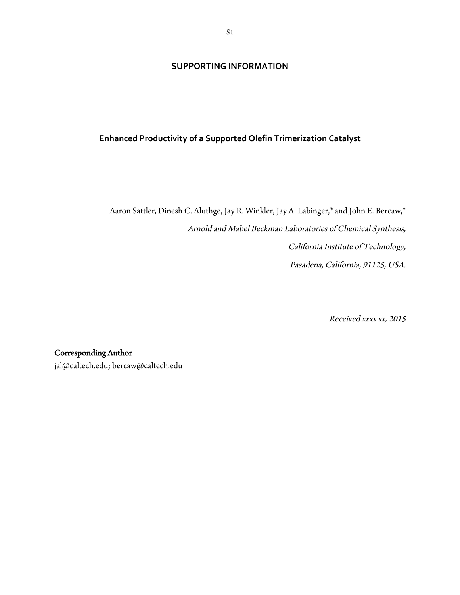## **SUPPORTING INFORMATION**

# **Enhanced Productivity of a Supported Olefin Trimerization Catalyst**

Aaron Sattler, Dinesh C. Aluthge, Jay R. Winkler, Jay A. Labinger,\* and John E. Bercaw,\* Arnold and Mabel Beckman Laboratories of Chemical Synthesis, California Institute of Technology, Pasadena, California, 91125, USA.

Received xxxx xx, 2015

# Corresponding Author

jal@caltech.edu; bercaw@caltech.edu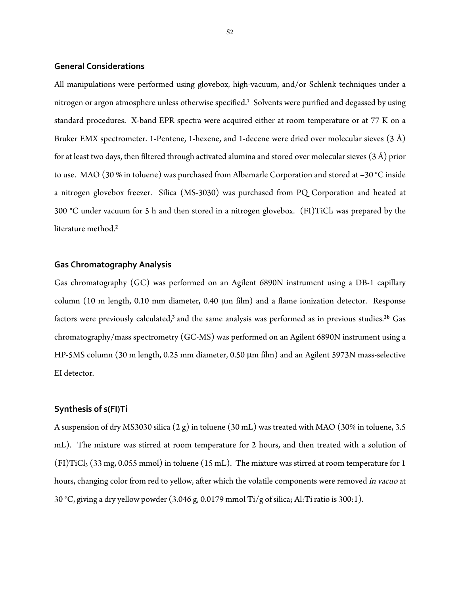#### **General Considerations**

All manipulations were performed using glovebox, high-vacuum, and/or Schlenk techniques under a nitrogen or argon atmosphere unless otherwise specified.<sup>1</sup> Solvents were purified and degassed by using standard procedures. X-band EPR spectra were acquired either at room temperature or at 77 K on a Bruker EMX spectrometer. 1-Pentene, 1-hexene, and 1-decene were dried over molecular sieves (3 Å) for at least two days, then filtered through activated alumina and stored over molecular sieves (3 Å) prior to use. MAO (30 % in toluene) was purchased from Albemarle Corporation and stored at –30 °C inside a nitrogen glovebox freezer. Silica (MS-3030) was purchased from PQ Corporation and heated at 300 °C under vacuum for 5 h and then stored in a nitrogen glovebox.  $(FI)TiCl<sub>3</sub>$  was prepared by the literature method.**<sup>2</sup>**

### **Gas Chromatography Analysis**

Gas chromatography (GC) was performed on an Agilent 6890N instrument using a DB-1 capillary column (10 m length, 0.10 mm diameter, 0.40 µm film) and a flame ionization detector. Response factors were previously calculated, **<sup>3</sup>** and the same analysis was performed as in previous studies.2b Gas chromatography/mass spectrometry (GC-MS) was performed on an Agilent 6890N instrument using a HP-5MS column (30 m length, 0.25 mm diameter, 0.50 µm film) and an Agilent 5973N mass-selective EI detector.

#### **Synthesis of s(FI)Ti**

A suspension of dry MS3030 silica (2 g) in toluene (30 mL) was treated with MAO (30% in toluene, 3.5 mL). The mixture was stirred at room temperature for 2 hours, and then treated with a solution of (FI)TiCl3 (33 mg, 0.055 mmol) in toluene (15 mL). The mixture was stirred at room temperature for 1 hours, changing color from red to yellow, after which the volatile components were removed in vacuo at 30 °C, giving a dry yellow powder (3.046 g, 0.0179 mmol Ti/g of silica; Al:Ti ratio is 300:1).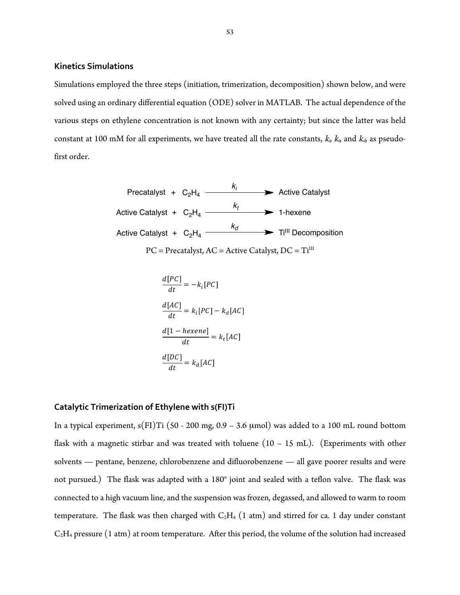### **Kinetics Simulations**

Simulations employed the three steps (initiation, trimerization, decomposition) shown below, and were solved using an ordinary differential equation (ODE) solver in MATLAB. The actual dependence of the various steps on ethylene concentration is not known with any certainty; but since the latter was held constant at 100 mM for all experiments, we have treated all the rate constants,  $k_i$ ,  $k_j$ , and  $k_d$ , as pseudofirst order.

Precatalyst + 
$$
C_2H_4
$$

\nActive Catalyst

\nActive Catalyst +  $C_2H_4$ 

\nActive Catalyst +  $C_2H_4$ 

\nActive Catalyst +  $C_2H_4$ 

\nWrite the  $T_4$  and  $T_4$  and  $T_5$  are the  $T_4$  and  $T_6$ .

\nActive Catalyst +  $C_2H_4$ 

\nFor example,  $AC = A$  and  $AC = A$  and  $AC = A$  are the  $T_4$  and  $T_6$ .

$$
\frac{d[PC]}{dt} = -k_i[PC]
$$

$$
\frac{d[AC]}{dt} = k_i[PC] - k_d[AC]
$$

$$
\frac{d[1 - hexene]}{dt} = k_t[AC]
$$

$$
\frac{d[DC]}{dt} = k_d[AC]
$$

#### **Catalytic Trimerization of Ethylene with s(FI)Ti**

In a typical experiment,  $s(H)Ti (50 - 200 mg, 0.9 - 3.6 \mu mol)$  was added to a 100 mL round bottom flask with a magnetic stirbar and was treated with toluene  $(10 - 15 \text{ mL})$ . (Experiments with other solvents — pentane, benzene, chlorobenzene and difluorobenzene — all gave poorer results and were not pursued.) The flask was adapted with a 180° joint and sealed with a teflon valve. The flask was connected to a high vacuum line, and the suspension was frozen, degassed, and allowed to warm to room temperature. The flask was then charged with  $C_2H_4$  (1 atm) and stirred for ca. 1 day under constant  $C_2H_4$  pressure (1 atm) at room temperature. After this period, the volume of the solution had increased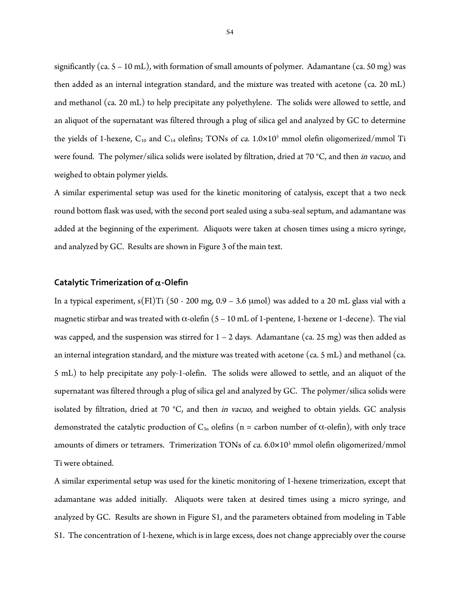significantly (ca.  $5 - 10$  mL), with formation of small amounts of polymer. Adamantane (ca.  $50$  mg) was then added as an internal integration standard, and the mixture was treated with acetone (ca. 20 mL) and methanol (ca. 20 mL) to help precipitate any polyethylene. The solids were allowed to settle, and an aliquot of the supernatant was filtered through a plug of silica gel and analyzed by GC to determine the yields of 1-hexene,  $C_{10}$  and  $C_{14}$  olefins; TONs of *ca.*  $1.0 \times 10^5$  mmol olefin oligomerized/mmol Ti were found. The polymer/silica solids were isolated by filtration, dried at 70 °C, and then *in vacuo*, and weighed to obtain polymer yields.

A similar experimental setup was used for the kinetic monitoring of catalysis, except that a two neck round bottom flask was used, with the second port sealed using a suba-seal septum, and adamantane was added at the beginning of the experiment. Aliquots were taken at chosen times using a micro syringe, and analyzed by GC. Results are shown in Figure 3 of the main text.

#### **Catalytic Trimerization of** α**-Olefin**

In a typical experiment,  $s(F1)Ti (50 - 200 mg, 0.9 - 3.6 \mu mol)$  was added to a 20 mL glass vial with a magnetic stirbar and was treated with  $\alpha$ -olefin (5 – 10 mL of 1-pentene, 1-hexene or 1-decene). The vial was capped, and the suspension was stirred for  $1 - 2$  days. Adamantane (ca. 25 mg) was then added as an internal integration standard, and the mixture was treated with acetone (ca. 5 mL) and methanol (ca. 5 mL) to help precipitate any poly-1-olefin. The solids were allowed to settle, and an aliquot of the supernatant was filtered through a plug of silica gel and analyzed by GC. The polymer/silica solids were isolated by filtration, dried at 70 °C, and then in vacuo, and weighed to obtain yields. GC analysis demonstrated the catalytic production of  $C_{3n}$  olefins (n = carbon number of  $\alpha$ -olefin), with only trace amounts of dimers or tetramers. Trimerization TONs of ca. 6.0×10<sup>3</sup> mmol olefin oligomerized/mmol Ti were obtained.

A similar experimental setup was used for the kinetic monitoring of 1-hexene trimerization, except that adamantane was added initially. Aliquots were taken at desired times using a micro syringe, and analyzed by GC. Results are shown in Figure S1, and the parameters obtained from modeling in Table S1. The concentration of 1-hexene, which is in large excess, does not change appreciably over the course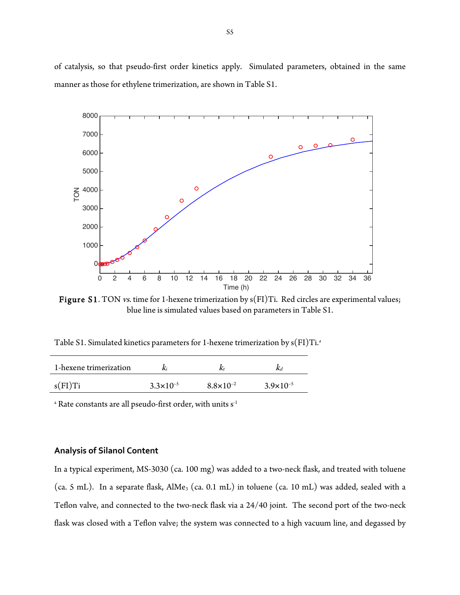of catalysis, so that pseudo-first order kinetics apply. Simulated parameters, obtained in the same manner as those for ethylene trimerization, are shown in Table S1.



Figure S1. TON vs. time for 1-hexene trimerization by s(FI)Ti. Red circles are experimental values; blue line is simulated values based on parameters in Table S1.

Table S1. Simulated kinetics parameters for 1-hexene trimerization by  $\rm s(FI)Ti.^a$ 

| 1-hexene trimerization |                      | N                    |                      |
|------------------------|----------------------|----------------------|----------------------|
| $s$ (FI)Ti             | $3.3 \times 10^{-5}$ | $8.8 \times 10^{-2}$ | $3.9 \times 10^{-5}$ |

<sup>a</sup> Rate constants are all pseudo-first order, with units s<sup>-1</sup>

### **Analysis of Silanol Content**

In a typical experiment, MS-3030 (ca. 100 mg) was added to a two-neck flask, and treated with toluene (ca. 5 mL). In a separate flask,  $\text{AlMe}_3$  (ca. 0.1 mL) in toluene (ca. 10 mL) was added, sealed with a Teflon valve, and connected to the two-neck flask via a 24/40 joint. The second port of the two-neck flask was closed with a Teflon valve; the system was connected to a high vacuum line, and degassed by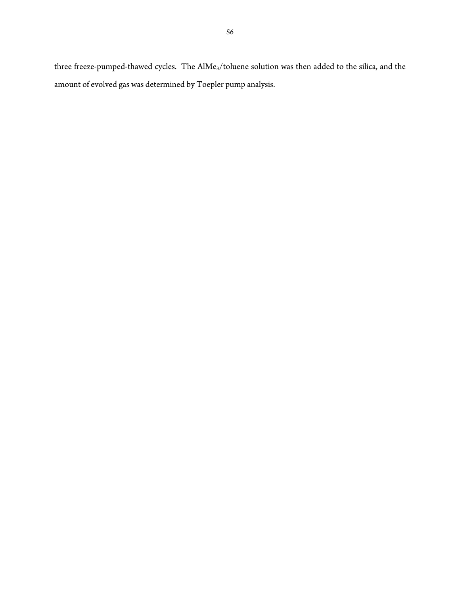three freeze-pumped-thawed cycles. The AlMe<sub>3</sub>/toluene solution was then added to the silica, and the amount of evolved gas was determined by Toepler pump analysis.